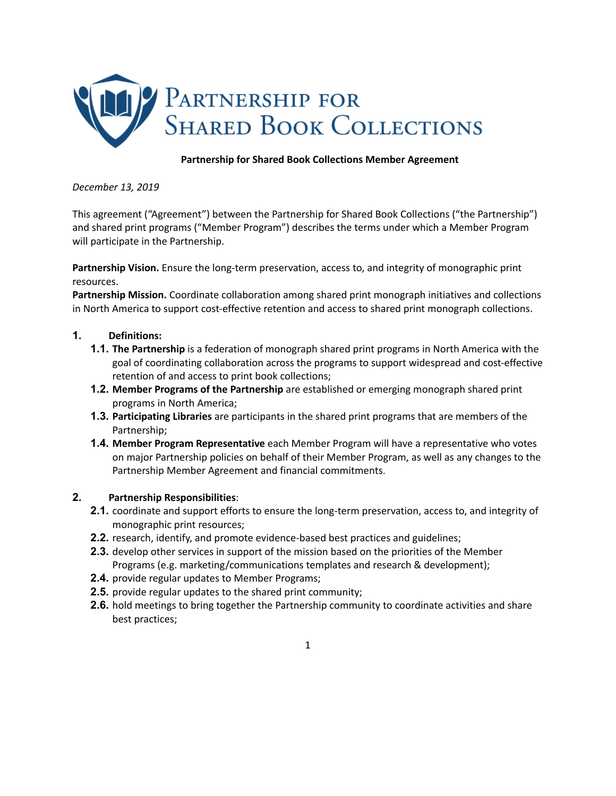

# **Partnership for Shared Book Collections Member Agreement**

*December 13, 2019*

This agreement ("Agreement") between the Partnership for Shared Book Collections ("the Partnership") and shared print programs ("Member Program") describes the terms under which a Member Program will participate in the Partnership.

**Partnership Vision.** Ensure the long-term preservation, access to, and integrity of monographic print resources.

**Partnership Mission.** Coordinate collaboration among shared print monograph initiatives and collections in North America to support cost-effective retention and access to shared print monograph collections.

### **1. Definitions:**

- **1.1. The Partnership** is a federation of monograph shared print programs in North America with the goal of coordinating collaboration across the programs to support widespread and cost-effective retention of and access to print book collections;
- **1.2. Member Programs of the Partnership** are established or emerging monograph shared print programs in North America;
- **1.3. Participating Libraries** are participants in the shared print programs that are members of the Partnership;
- **1.4. Member Program Representative** each Member Program will have a representative who votes on major Partnership policies on behalf of their Member Program, as well as any changes to the Partnership Member Agreement and financial commitments.

### **2. Partnership Responsibilities**:

- **2.1.** coordinate and support efforts to ensure the long-term preservation, access to, and integrity of monographic print resources;
- **2.2.** research, identify, and promote evidence-based best practices and guidelines;
- **2.3.** develop other services in support of the mission based on the priorities of the Member Programs (e.g. marketing/communications templates and research & development);
- **2.4.** provide regular updates to Member Programs;
- **2.5.** provide regular updates to the shared print community;
- **2.6.** hold meetings to bring together the Partnership community to coordinate activities and share best practices;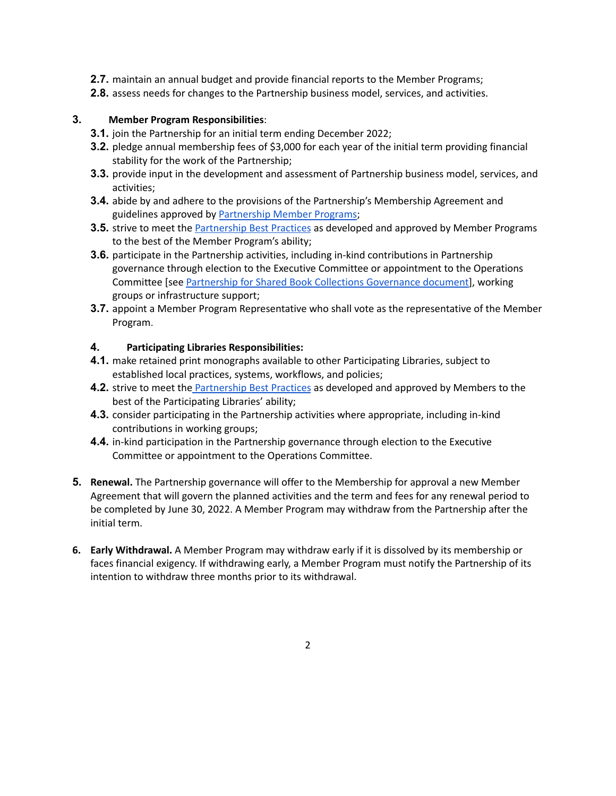- **2.7.** maintain an annual budget and provide financial reports to the Member Programs;
- **2.8.** assess needs for changes to the Partnership business model, services, and activities.

## **3. Member Program Responsibilities**:

- **3.1.** join the Partnership for an initial term ending December 2022;
- **3.2.** pledge annual membership fees of \$3,000 for each year of the initial term providing financial stability for the work of the Partnership;
- **3.3.** provide input in the development and assessment of Partnership business model, services, and activities;
- **3.4.** abide by and adhere to the provisions of the Partnership's Membership Agreement and guidelines approved by [Partnership](https://sharedprint.org/membership/) Member Programs;
- **3.5.** strive to meet the [Partnership](https://sharedprint.org/best-practices/) Best Practices as developed and approved by Member Programs to the best of the Member Program's ability;
- **3.6.** participate in the Partnership activities, including in-kind contributions in Partnership governance through election to the Executive Committee or appointment to the Operations Committee [see Partnership for Shared Book Collections [Governance](https://sharedprint.org/wp-content/uploads/PartnershipforSharedBookCollectionsGovernance.pdf) document], working groups or infrastructure support;
- **3.7.** appoint a Member Program Representative who shall vote as the representative of the Member Program.

## **4. Participating Libraries Responsibilities:**

- **4.1.** make retained print monographs available to other Participating Libraries, subject to established local practices, systems, workflows, and policies;
- **4.2.** strive to meet the **[Partnership](https://sharedprint.org/best-practices/) Best Practices** as developed and approved by Members to the best of the Participating Libraries' ability;
- **4.3.** consider participating in the Partnership activities where appropriate, including in-kind contributions in working groups;
- **4.4.** in-kind participation in the Partnership governance through election to the Executive Committee or appointment to the Operations Committee.
- **5. Renewal.** The Partnership governance will offer to the Membership for approval a new Member Agreement that will govern the planned activities and the term and fees for any renewal period to be completed by June 30, 2022. A Member Program may withdraw from the Partnership after the initial term.
- **6. Early Withdrawal.** A Member Program may withdraw early if it is dissolved by its membership or faces financial exigency. If withdrawing early, a Member Program must notify the Partnership of its intention to withdraw three months prior to its withdrawal.